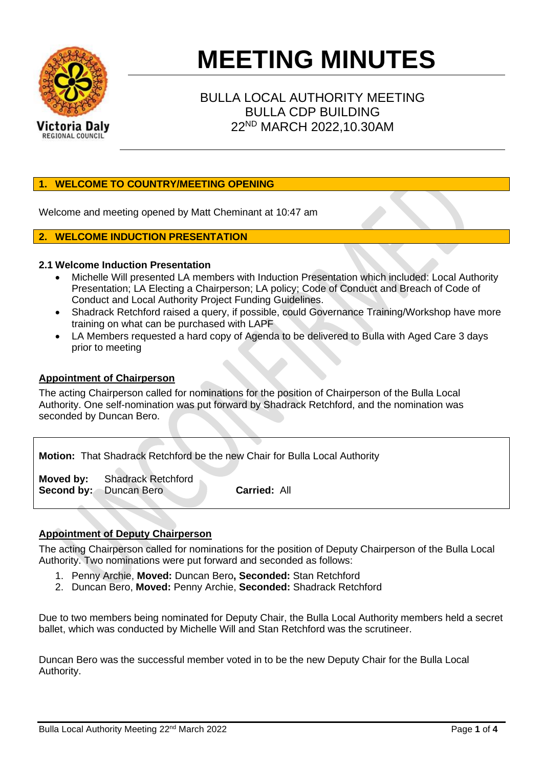

# **MEETING MINUTES**

# BULLA LOCAL AUTHORITY MEETING BULLA CDP BUILDING 22ND MARCH 2022,10.30AM

# **1. WELCOME TO COUNTRY/MEETING OPENING**

Welcome and meeting opened by Matt Cheminant at 10:47 am

# **2. WELCOME INDUCTION PRESENTATION**

# **2.1 Welcome Induction Presentation**

- Michelle Will presented LA members with Induction Presentation which included: Local Authority Presentation; LA Electing a Chairperson; LA policy; Code of Conduct and Breach of Code of Conduct and Local Authority Project Funding Guidelines.
- Shadrack Retchford raised a query, if possible, could Governance Training/Workshop have more training on what can be purchased with LAPF
- LA Members requested a hard copy of Agenda to be delivered to Bulla with Aged Care 3 days prior to meeting

# **Appointment of Chairperson**

The acting Chairperson called for nominations for the position of Chairperson of the Bulla Local Authority. One self-nomination was put forward by Shadrack Retchford, and the nomination was seconded by Duncan Bero.

|                               |                                     | <b>Motion:</b> That Shadrack Retchford be the new Chair for Bulla Local Authority |
|-------------------------------|-------------------------------------|-----------------------------------------------------------------------------------|
| <b>Second by:</b> Duncan Bero | <b>Moved by:</b> Shadrack Retchford | <b>Carried: All</b>                                                               |

# **Appointment of Deputy Chairperson**

The acting Chairperson called for nominations for the position of Deputy Chairperson of the Bulla Local Authority. Two nominations were put forward and seconded as follows:

- 1. Penny Archie, **Moved:** Duncan Bero**, Seconded:** Stan Retchford
- 2. Duncan Bero, **Moved:** Penny Archie, **Seconded:** Shadrack Retchford

Due to two members being nominated for Deputy Chair, the Bulla Local Authority members held a secret ballet, which was conducted by Michelle Will and Stan Retchford was the scrutineer.

Duncan Bero was the successful member voted in to be the new Deputy Chair for the Bulla Local Authority.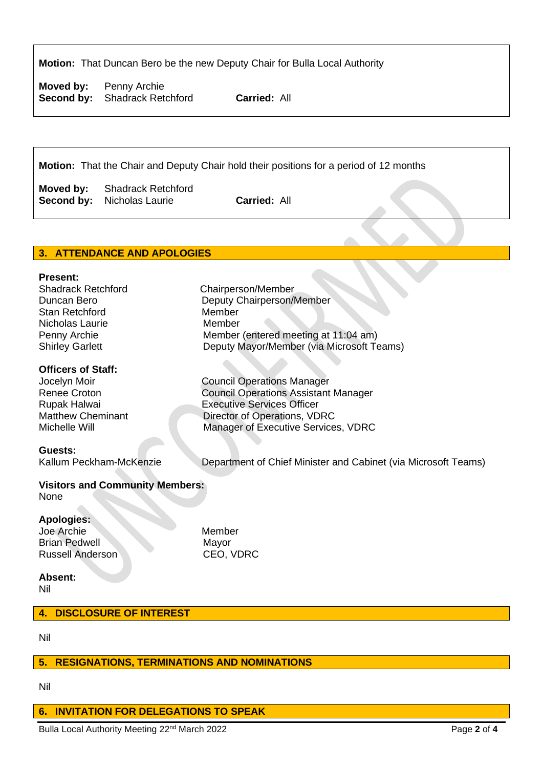**Motion:** That Duncan Bero be the new Deputy Chair for Bulla Local Authority

**Moved by:** Penny Archie **Second by:** Shadrack Retchford **Carried:** All

**Motion:** That the Chair and Deputy Chair hold their positions for a period of 12 months

**Moved by:** Shadrack Retchford **Second by:** Nicholas Laurie **Carried:** All

# **3. ATTENDANCE AND APOLOGIES**

#### **Present:**

Shadrack Retchford Chairperson/Member Duncan Bero **Deputy Chairperson/Member** Stan Retchford Member Nicholas Laurie Member

# **Officers of Staff:**

#### **Guests:**

Penny Archie Member (entered meeting at 11:04 am) Shirley Garlett Deputy Mayor/Member (via Microsoft Teams) Jocelyn Moir Council Operations Manager

Renee Croton Council Operations Assistant Manager<br>
Rupak Halwai Executive Services Officer Rupak Halwai **Executive Services Officer**<br>Matthew Cheminant **Executive Services Officer** Director of Operations, VDRC Michelle Will Manager of Executive Services, VDRC

Kallum Peckham-McKenzie Department of Chief Minister and Cabinet (via Microsoft Teams)

#### **Visitors and Community Members:** None

# **Apologies:**

Joe Archie Member Brian Pedwell Mayor Russell Anderson CEO, VDRC

# **Absent:**

Nil

# **4. DISCLOSURE OF INTEREST**

Nil

# **5. RESIGNATIONS, TERMINATIONS AND NOMINATIONS**

Nil

# **6. INVITATION FOR DELEGATIONS TO SPEAK**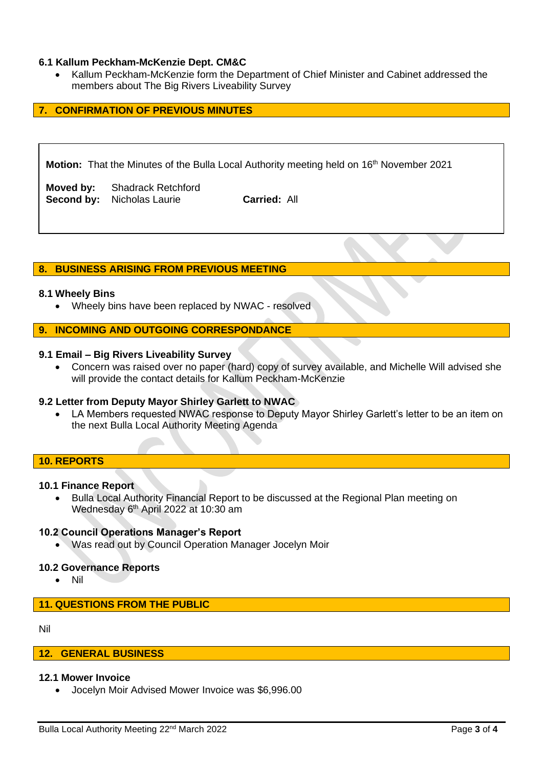# **6.1 Kallum Peckham-McKenzie Dept. CM&C**

• Kallum Peckham-McKenzie form the Department of Chief Minister and Cabinet addressed the members about The Big Rivers Liveability Survey

# **7. CONFIRMATION OF PREVIOUS MINUTES**

**Motion:** That the Minutes of the Bulla Local Authority meeting held on 16<sup>th</sup> November 2021

**Moved by:** Shadrack Retchford **Second by:** Nicholas Laurie **Carried:** All

#### **8. BUSINESS ARISING FROM PREVIOUS MEETING**

#### **8.1 Wheely Bins**

• Wheely bins have been replaced by NWAC - resolved

#### **9. INCOMING AND OUTGOING CORRESPONDANCE**

## **9.1 Email – Big Rivers Liveability Survey**

• Concern was raised over no paper (hard) copy of survey available, and Michelle Will advised she will provide the contact details for Kallum Peckham-McKenzie

#### **9.2 Letter from Deputy Mayor Shirley Garlett to NWAC**

• LA Members requested NWAC response to Deputy Mayor Shirley Garlett's letter to be an item on the next Bulla Local Authority Meeting Agenda

#### **10. REPORTS**

#### **10.1 Finance Report**

• Bulla Local Authority Financial Report to be discussed at the Regional Plan meeting on Wednesday 6<sup>th</sup> April 2022 at 10:30 am

#### **10.2 Council Operations Manager's Report**

• Was read out by Council Operation Manager Jocelyn Moir

#### **10.2 Governance Reports**

• Nil

#### **11. QUESTIONS FROM THE PUBLIC**

#### Nil

#### **12. GENERAL BUSINESS**

#### **12.1 Mower Invoice**

• Jocelyn Moir Advised Mower Invoice was \$6,996.00